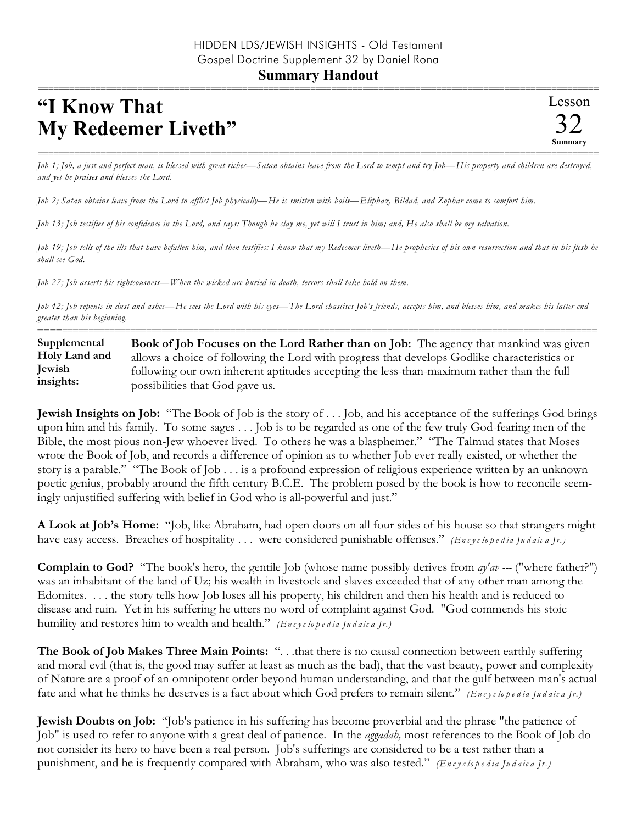## **"I Know That My Redeemer Liveth"**

=========================================================================================================== *Job 1; Job, a just and perfect man, is blessed with great riches—Satan obtains leave from the Lord to tempt and try Job—His property and children are destroyed, and yet he praises and blesses the Lord.*

*Job 2; Satan obtains leave from the Lord to afflict Job physically—He is smitten with boils—Eliphaz, Bildad, and Zophar come to comfort him.*

*Job 13; Job testifies of his confidence in the Lord, and says: Though he slay me, yet will I trust in him; and, He also shall be my salvation.*

*Job 19; Job tells of the ills that have befallen him, and then testifies: I know that my Redeemer liveth—He prophesies of his own resurrection and that in his flesh he shall see God.*

*Job 27; Job asserts his righteousness—When the wicked are buried in death, terrors shall take hold on them.*

*Job 42; Job repents in dust and ashes—He sees the Lord with his eyes—The Lord chastises Job's friends, accepts him, and blesses him, and makes his latter end greater than his beginning.* ==========================================================================================================

**Book of Job Focuses on the Lord Rather than on Job:** The agency that mankind was given allows a choice of following the Lord with progress that develops Godlike characteristics or following our own inherent aptitudes accepting the less-than-maximum rather than the full possibilities that God gave us. **Supplemental Holy Land and Jewish insights:**

**Jewish Insights on Job:** "The Book of Job is the story of . . . Job, and his acceptance of the sufferings God brings upon him and his family. To some sages . . . Job is to be regarded as one of the few truly God-fearing men of the Bible, the most pious non-Jew whoever lived. To others he was a blasphemer." "The Talmud states that Moses wrote the Book of Job, and records a difference of opinion as to whether Job ever really existed, or whether the story is a parable." "The Book of Job . . . is a profound expression of religious experience written by an unknown poetic genius, probably around the fifth century B.C.E. The problem posed by the book is how to reconcile seemingly unjustified suffering with belief in God who is all-powerful and just."

**A Look at Job's Home:** "Job, like Abraham, had open doors on all four sides of his house so that strangers might have easy access. Breaches of hospitality . . . were considered punishable offenses." *(En c y c lo p e d ia Ju d a ic a Jr.)*

**Complain to God?** "The book's hero, the gentile Job (whose name possibly derives from *ay'av ---* ("where father?") was an inhabitant of the land of Uz; his wealth in livestock and slaves exceeded that of any other man among the Edomites. . . . the story tells how Job loses all his property, his children and then his health and is reduced to disease and ruin. Yet in his suffering he utters no word of complaint against God. "God commends his stoic humility and restores him to wealth and health." *(En c y c lo p e d ia Ju d a ic a Jr.)*

**The Book of Job Makes Three Main Points:** ". . .that there is no causal connection between earthly suffering and moral evil (that is, the good may suffer at least as much as the bad), that the vast beauty, power and complexity of Nature are a proof of an omnipotent order beyond human understanding, and that the gulf between man's actual fate and what he thinks he deserves is a fact about which God prefers to remain silent." *(En c y c lo p e d ia Ju d a ic a Jr.)*

**Jewish Doubts on Job:** "Job's patience in his suffering has become proverbial and the phrase "the patience of Job" is used to refer to anyone with a great deal of patience. In the *aggadah,* most references to the Book of Job do not consider its hero to have been a real person. Job's sufferings are considered to be a test rather than a punishment, and he is frequently compared with Abraham, who was also tested." *(En c y c lo p e d ia Ju d a ic a Jr.)*